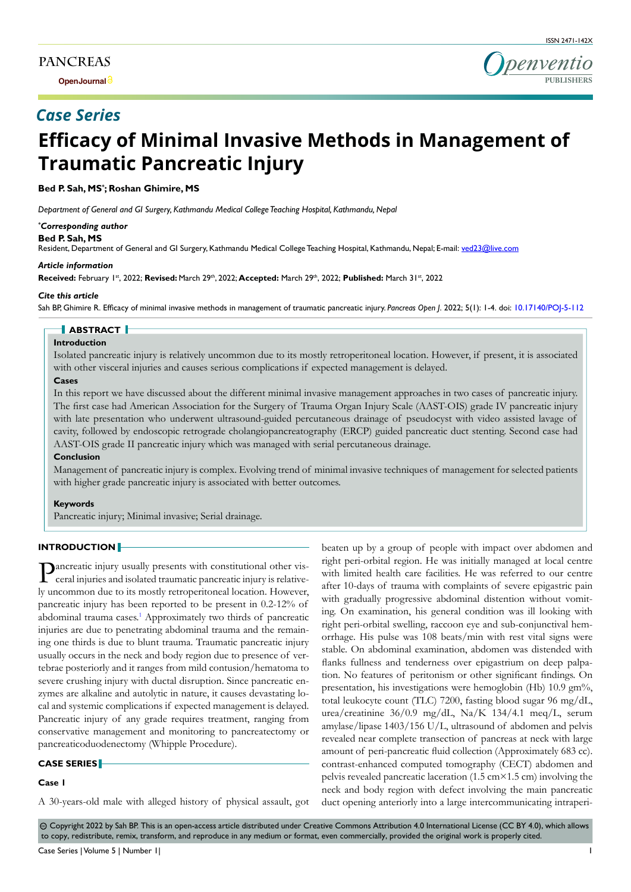**Open Journal**



# **Efficacy of Minimal Invasive Methods in Management of Traumatic Pancreatic Injury**

**Bed P. Sah, MS\* ; Roshan Ghimire, MS**

*Department of General and GI Surgery, Kathmandu Medical College Teaching Hospital, Kathmandu, Nepal*

#### *\* Corresponding author*

#### **Bed P. Sah, MS**

Resident, Department of General and GI Surgery, Kathmandu Medical College Teaching Hospital, Kathmandu, Nepal; E-mail: ved23@live.com

#### *Article information*

**Received:** February 1st, 2022; **Revised:** March 29th, 2022; **Accepted:** March 29th, 2022; **Published:** March 31st, 2022

#### *Cite this article*

Sah BP, Ghimire R. Efficacy of minimal invasive methods in management of traumatic pancreatic injury. *Pancreas Open J*. 2022; 5(1): 1-4. doi: [10.17140/POJ-5-112](http://dx.doi.org/10.17140/POJ-5-112)

# **ABSTRACT**

## **Introduction**

Isolated pancreatic injury is relatively uncommon due to its mostly retroperitoneal location. However, if present, it is associated with other visceral injuries and causes serious complications if expected management is delayed.

### **Cases**

In this report we have discussed about the different minimal invasive management approaches in two cases of pancreatic injury. The first case had American Association for the Surgery of Trauma Organ Injury Scale (AAST-OIS) grade IV pancreatic injury with late presentation who underwent ultrasound-guided percutaneous drainage of pseudocyst with video assisted lavage of cavity, followed by endoscopic retrograde cholangiopancreatography (ERCP) guided pancreatic duct stenting. Second case had AAST-OIS grade II pancreatic injury which was managed with serial percutaneous drainage.

#### **Conclusion**

Management of pancreatic injury is complex. Evolving trend of minimal invasive techniques of management for selected patients with higher grade pancreatic injury is associated with better outcomes.

#### **Keywords**

Pancreatic injury; Minimal invasive; Serial drainage.

#### **INTRODUCTION**

Pancreatic injury usually presents with constitutional other visceral injuries and isolated traumatic pancreatic injury is relatively uncommon due to its mostly retroperitoneal location. However, pancreatic injury has been reported to be present in 0.2-12% of abdominal trauma cases.<sup>1</sup> Approximately two thirds of pancreatic injuries are due to penetrating abdominal trauma and the remaining one thirds is due to blunt trauma. Traumatic pancreatic injury usually occurs in the neck and body region due to presence of vertebrae posteriorly and it ranges from mild contusion/hematoma to severe crushing injury with ductal disruption. Since pancreatic enzymes are alkaline and autolytic in nature, it causes devastating local and systemic complications if expected management is delayed. Pancreatic injury of any grade requires treatment, ranging from conservative management and monitoring to pancreatectomy or pancreaticoduodenectomy (Whipple Procedure).

#### **CASE SERIES**

### **Case 1**

A 30-years-old male with alleged history of physical assault, got

beaten up by a group of people with impact over abdomen and right peri-orbital region. He was initially managed at local centre with limited health care facilities. He was referred to our centre after 10-days of trauma with complaints of severe epigastric pain with gradually progressive abdominal distention without vomiting. On examination, his general condition was ill looking with right peri-orbital swelling, raccoon eye and sub-conjunctival hemorrhage. His pulse was 108 beats/min with rest vital signs were stable. On abdominal examination, abdomen was distended with flanks fullness and tenderness over epigastrium on deep palpation. No features of peritonism or other significant findings. On presentation, his investigations were hemoglobin (Hb) 10.9 gm%, total leukocyte count (TLC) 7200, fasting blood sugar 96 mg/dL, urea/creatinine 36/0.9 mg/dL, Na/K 134/4.1 meq/L, serum amylase/lipase 1403/156 U/L, ultrasound of abdomen and pelvis revealed near complete transection of pancreas at neck with large amount of peri-pancreatic fluid collection (Approximately 683 cc). contrast-enhanced computed tomography (CECT) abdomen and pelvis revealed pancreatic laceration (1.5 cm $\times$ 1.5 cm) involving the neck and body region with defect involving the main pancreatic duct opening anteriorly into a large intercommunicating intraperi-

 $\circledcirc$  Copyright 2022 by Sah BP. This is an open-access article distributed under Creative Commons Attribution 4.0 International License (CC BY 4.0), which allows to copy, redistribute, remix, transform, and reproduce in any medium or format, even commercially, provided the original work is properly cited.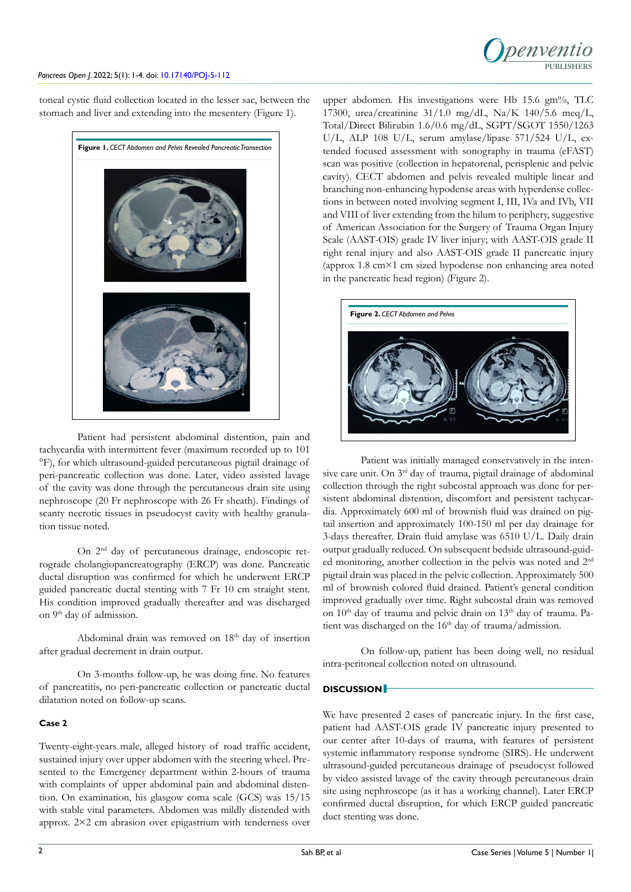

toneal cystic fluid collection located in the lesser sac, between the stomach and liver and extending into the mesentery (Figure 1).



Patient had persistent abdominal distention, pain and tachycardia with intermittent fever (maximum recorded up to 101 °F), for which ultrasound-guided percutaneous pigtail drainage of peri-pancreatic collection was done. Later, video assisted lavage of the cavity was done through the percutaneous drain site using nephroscope (20 Fr nephroscope with 26 Fr sheath). Findings of scanty necrotic tissues in pseudocyst cavity with healthy granulation tissue noted.

On 2<sup>nd</sup> day of percutaneous drainage, endoscopic retrograde cholangiopancreatography (ERCP) was done. Pancreatic ductal disruption was confirmed for which he underwent ERCP guided pancreatic ductal stenting with 7 Fr 10 cm straight stent. His condition improved gradually thereafter and was discharged on 9<sup>th</sup> day of admission.

Abdominal drain was removed on 18<sup>th</sup> day of insertion after gradual decrement in drain output.

On 3-months follow-up, he was doing fine. No features of pancreatitis, no peri-pancreatic collection or pancreatic ductal dilatation noted on follow-up scans.

#### **Case 2**

Twenty-eight-years male, alleged history of road traffic accident, sustained injury over upper abdomen with the steering wheel. Presented to the Emergency department within 2-hours of trauma with complaints of upper abdominal pain and abdominal distention. On examination, his glasgow coma scale (GCS) was 15/15 with stable vital parameters. Abdomen was mildly distended with approx. 2×2 cm abrasion over epigastrium with tenderness over

upper abdomen. His investigations were Hb 15.6 gm%, TLC 17300, urea/creatinine 31/1.0 mg/dL, Na/K 140/5.6 meq/L, Total/Direct Bilirubin 1.6/0.6 mg/dL, SGPT/SGOT 1550/1263 U/L, ALP 108 U/L, serum amylase/lipase 571/524 U/L, extended focused assessment with sonography in trauma (eFAST) scan was positive (collection in hepatorenal, perisplenic and pelvic cavity). CECT abdomen and pelvis revealed multiple linear and branching non-enhancing hypodense areas with hyperdense collections in between noted involving segment I, III, IVa and IVb, VII and VIII of liver extending from the hilum to periphery, suggestive of American Association for the Surgery of Trauma Organ Injury Scale (AAST-OIS) grade IV liver injury; with AAST-OIS grade II right renal injury and also AAST-OIS grade II pancreatic injury (approx 1.8 cm×1 cm sized hypodense non enhancing area noted in the pancreatic head region) (Figure 2).



Patient was initially managed conservatively in the intensive care unit. On 3<sup>rd</sup> day of trauma, pigtail drainage of abdominal collection through the right subcostal approach was done for persistent abdominal distention, discomfort and persistent tachycardia. Approximately 600 ml of brownish fluid was drained on pigtail insertion and approximately 100-150 ml per day drainage for 3-days thereafter. Drain fluid amylase was 6510 U/L. Daily drain output gradually reduced. On subsequent bedside ultrasound-guided monitoring, another collection in the pelvis was noted and 2nd pigtail drain was placed in the pelvic collection. Approximately 500 ml of brownish colored fluid drained. Patient's general condition improved gradually over time. Right subcostal drain was removed on 10<sup>th</sup> day of trauma and pelvic drain on 13<sup>th</sup> day of trauma. Patient was discharged on the 16<sup>th</sup> day of trauma/admission.

On follow-up, patient has been doing well, no residual intra-peritoneal collection noted on ultrasound.

# **DISCUSSION**

We have presented 2 cases of pancreatic injury. In the first case, patient had AAST-OIS grade IV pancreatic injury presented to our center after 10-days of trauma, with features of persistent systemic inflammatory response syndrome (SIRS). He underwent ultrasound-guided percutaneous drainage of pseudocyst followed by video assisted lavage of the cavity through percutaneous drain site using nephroscope (as it has a working channel). Later ERCP confirmed ductal disruption, for which ERCP guided pancreatic duct stenting was done.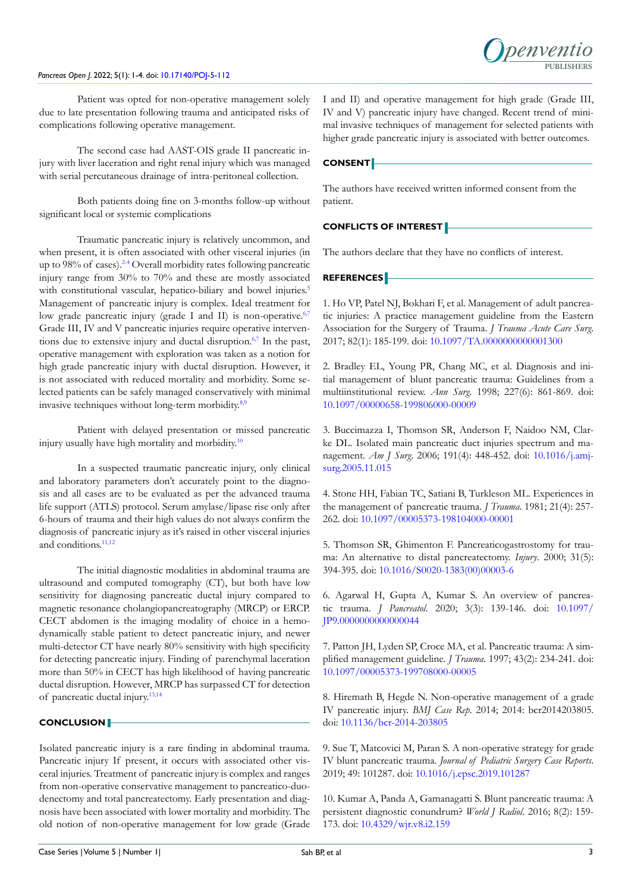### *Pancreas Open J*. 2022; 5(1): 1-4. doi: [10.17140/POJ-5-112](http://dx.doi.org/10.17140/POJ-5-112)



Patient was opted for non-operative management solely due to late presentation following trauma and anticipated risks of complications following operative management.

The second case had AAST-OIS grade II pancreatic injury with liver laceration and right renal injury which was managed with serial percutaneous drainage of intra-peritoneal collection.

Both patients doing fine on 3-months follow-up without significant local or systemic complications

Traumatic pancreatic injury is relatively uncommon, and when present, it is often associated with other visceral injuries (in up to 98% of cases).<sup>2-4</sup> Overall morbidity rates following pancreatic injury range from 30% to 70% and these are mostly associated with constitutional vascular, hepatico-biliary and bowel injuries.<sup>[5](#page-2-2)</sup> Management of pancreatic injury is complex. Ideal treatment for low grade pancreatic injury (grade I and II) is non-operative.<sup>[6,7](#page-2-3)</sup> Grade III, IV and V pancreatic injuries require operative interven-tions due to extensive injury and ductal disruption.<sup>[6,7](#page-2-3)</sup> In the past, operative management with exploration was taken as a notion for high grade pancreatic injury with ductal disruption. However, it is not associated with reduced mortality and morbidity. Some selected patients can be safely managed conservatively with minimal invasive techniques without long-term morbidity.<sup>8,9</sup>

Patient with delayed presentation or missed pancreatic injury usually have high mortality and morbidity.<sup>[10](#page-2-5)</sup>

In a suspected traumatic pancreatic injury, only clinical and laboratory parameters don't accurately point to the diagnosis and all cases are to be evaluated as per the advanced trauma life support (ATLS) protocol. Serum amylase/lipase rise only after 6-hours of trauma and their high values do not always confirm the diagnosis of pancreatic injury as it's raised in other visceral injuries and conditions.<sup>11,12</sup>

The initial diagnostic modalities in abdominal trauma are ultrasound and computed tomography (CT), but both have low sensitivity for diagnosing pancreatic ductal injury compared to magnetic resonance cholangiopancreatography (MRCP) or ERCP. CECT abdomen is the imaging modality of choice in a hemodynamically stable patient to detect pancreatic injury, and newer multi-detector CT have nearly 80% sensitivity with high specificity for detecting pancreatic injury. Finding of parenchymal laceration more than 50% in CECT has high likelihood of having pancreatic ductal disruption. However, MRCP has surpassed CT for detection of pancreatic ductal injury.[13,14](#page-3-1)

#### **CONCLUSION**

Isolated pancreatic injury is a rare finding in abdominal trauma. Pancreatic injury If present, it occurs with associated other visceral injuries. Treatment of pancreatic injury is complex and ranges from non-operative conservative management to pancreatico-duodenectomy and total pancreatectomy. Early presentation and diagnosis have been associated with lower mortality and morbidity. The old notion of non-operative management for low grade (Grade I and II) and operative management for high grade (Grade III, IV and V) pancreatic injury have changed. Recent trend of minimal invasive techniques of management for selected patients with higher grade pancreatic injury is associated with better outcomes.

## **CONSENT**

The authors have received written informed consent from the patient.

# **CONFLICTS OF INTEREST**

The authors declare that they have no conflicts of interest.

# **REFERENCES**

<span id="page-2-0"></span>1. Ho VP, Patel NJ, Bokhari F, et al. Management of adult pancreatic injuries: A practice management guideline from the Eastern Association for the Surgery of Trauma. *J Trauma Acute Care Surg*. 2017; 82(1): 185-199. doi: [10.1097/TA.0000000000001300](http://doi.org/10.1097/TA.0000000000001300)

<span id="page-2-1"></span>2. Bradley EL, Young PR, Chang MC, et al. Diagnosis and initial management of blunt pancreatic trauma: Guidelines from a multiinstitutional review. *Ann Surg*. 1998; 227(6): 861-869. doi: [10.1097/00000658-199806000-00009](http://doi.org/10.1097/00000658-199806000-00009)

3. Buccimazza I, Thomson SR, Anderson F, Naidoo NM, Clarke DL. Isolated main pancreatic duct injuries spectrum and management. *Am J Surg*. 2006; 191(4): 448-452. doi: [10.1016/j.amj](http://doi.org/10.1016/j.amjsurg.2005.11.015)[surg.2005.11.015](http://doi.org/10.1016/j.amjsurg.2005.11.015)

4. Stone HH, Fabian TC, Satiani B, Turkleson ML. Experiences in the management of pancreatic trauma. *J Trauma*. 1981; 21(4): 257- 262. doi: [10.1097/00005373-198104000-00001](http://doi.org/10.1097/00005373-198104000-00001)

<span id="page-2-2"></span>5. Thomson SR, Ghimenton F. Pancreaticogastrostomy for trauma: An alternative to distal pancreatectomy. *Injury*. 2000; 31(5): 394-395. doi: [10.1016/S0020-1383\(00\)00003-6](http://doi.org/10.1016/S0020-1383(00)00003-6)

<span id="page-2-3"></span>6. Agarwal H, Gupta A, Kumar S. An overview of pancreatic trauma. *J Pancreatol*. 2020; 3(3): 139-146. doi: [10.1097/](http://doi.org/10.1097/JP9.0000000000000044) [JP9.0000000000000044](http://doi.org/10.1097/JP9.0000000000000044)

7. Patton JH, Lyden SP, Croce MA, et al. Pancreatic trauma: A simplified management guideline. *J Trauma*. 1997; 43(2): 234-241. doi: [10.1097/00005373-199708000-00005](http://doi.org/10.1097/00005373-199708000-00005)

<span id="page-2-4"></span>8. Hiremath B, Hegde N. Non-operative management of a grade IV pancreatic injury. *BMJ Case Rep*. 2014; 2014: bcr2014203805. doi: [10.1136/bcr-2014-203805](http://doi.org/10.1136/bcr-2014-203805)

9. Sue T, Matcovici M, Paran S. A non-operative strategy for grade IV blunt pancreatic trauma. *Journal of Pediatric Surgery Case Reports*. 2019; 49: 101287. doi: [10.1016/j.epsc.2019.101287](http://doi.org/10.1016/j.epsc.2019.101287)

<span id="page-2-5"></span>10. Kumar A, Panda A, Gamanagatti S. Blunt pancreatic trauma: A persistent diagnostic conundrum? *World J Radiol*. 2016; 8(2): 159- 173. doi: [10.4329/wjr.v8.i2.159](http://doi.org/10.4329/wjr.v8.i2.159)